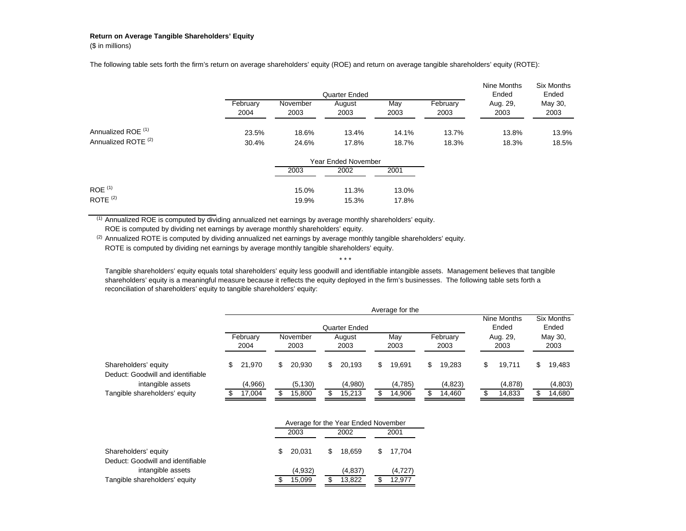## **Return on Average Tangible Shareholders' Equity**

(\$ in millions)

The following table sets forth the firm's return on average shareholders' equity (ROE) and return on average tangible shareholders' equity (ROTE):

|                                |          |          | Quarter Ended |       |          | Nine Months<br>Ended | Six Months<br>Ended |
|--------------------------------|----------|----------|---------------|-------|----------|----------------------|---------------------|
|                                | Februarv | November | August        | May   | February | Aug. 29.             | May 30,             |
|                                | 2004     | 2003     | 2003          | 2003  | 2003     | 2003                 | 2003                |
| Annualized ROE <sup>(1)</sup>  | 23.5%    | 18.6%    | 13.4%         | 14.1% | 13.7%    | 13.8%                | 13.9%               |
| Annualized ROTE <sup>(2)</sup> | 30.4%    | 24.6%    | 17.8%         | 18.7% | 18.3%    | 18.3%                | 18.5%               |

|                      |       | <b>Year Ended November</b> |       |
|----------------------|-------|----------------------------|-------|
|                      | 2003  | 2002                       | 2001  |
|                      |       |                            |       |
| $ROE$ <sup>(1)</sup> | 15.0% | 11.3%                      | 13.0% |
| ROTE $(2)$           | 19.9% | 15.3%                      | 17.8% |

(1) Annualized ROE is computed by dividing annualized net earnings by average monthly shareholders' equity. ROE is computed by dividing net earnings by average monthly shareholders' equity.

(2) Annualized ROTE is computed by dividing annualized net earnings by average monthly tangible shareholders' equity. ROTE is computed by dividing net earnings by average monthly tangible shareholders' equity.

Tangible shareholders' equity equals total shareholders' equity less goodwill and identifiable intangible assets. Management believes that tangible shareholders' equity is a meaningful measure because it reflects the equity deployed in the firm's businesses. The following table sets forth a reconciliation of shareholders' equity to tangible shareholders' equity:

\* \* \*

|                                                           |                  |               |                  |   |                |  | Average for the                                                                                                      |                 |                     |         |
|-----------------------------------------------------------|------------------|---------------|------------------|---|----------------|--|----------------------------------------------------------------------------------------------------------------------|-----------------|---------------------|---------|
|                                                           |                  | Quarter Ended |                  |   |                |  |                                                                                                                      |                 | Six Months<br>Ended |         |
|                                                           | February<br>2004 |               | November<br>2003 |   | August<br>2003 |  | Nine Months<br>Ended<br>February<br>May<br>Aug. 29,<br>2003<br>2003<br>2003<br>19.691<br>19.283<br>\$<br>19.711<br>S | May 30,<br>2003 |                     |         |
| Shareholders' equity<br>Deduct: Goodwill and identifiable | 21.970           |               | 20.930           | S | 20.193         |  |                                                                                                                      |                 |                     | 19,483  |
| intangible assets                                         | (4,966)          |               | (5, 130)         |   | (4,980)        |  | (4,785)                                                                                                              | (4,823)         | (4,878)             | (4,803) |
| Tangible shareholders' equity                             | 17,004           |               | 15,800           |   | 15,213         |  | 14,906                                                                                                               | 14,460          | 14,833              | 14,680  |

|                                                           | Average for the Year Ended November |         |      |         |  |         |  |  |  |
|-----------------------------------------------------------|-------------------------------------|---------|------|---------|--|---------|--|--|--|
|                                                           |                                     | 2003    | 2002 |         |  | 2001    |  |  |  |
| Shareholders' equity<br>Deduct: Goodwill and identifiable | S                                   | 20.031  | \$.  | 18.659  |  | 17.704  |  |  |  |
| intangible assets                                         |                                     | (4,932) |      | (4,837) |  | (4,727) |  |  |  |
| Tangible shareholders' equity                             |                                     | 15.099  |      | 13.822  |  | 12.977  |  |  |  |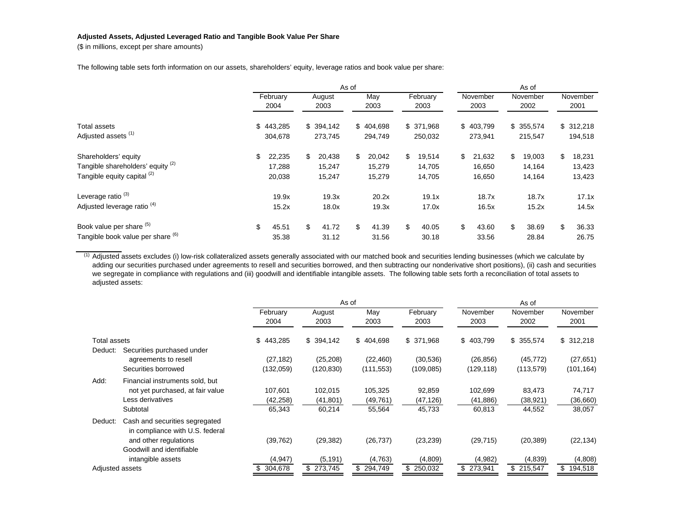## **Adjusted Assets, Adjusted Leveraged Ratio and Tangible Book Value Per Share**

(\$ in millions, except per share amounts)

The following table sets forth information on our assets, shareholders' equity, leverage ratios and book value per share:

|                                                                                                     |                      |                            |                      |                            | As of                |                            |                       |                            |                      |                            |                      |                            |                      |                            |
|-----------------------------------------------------------------------------------------------------|----------------------|----------------------------|----------------------|----------------------------|----------------------|----------------------------|-----------------------|----------------------------|----------------------|----------------------------|----------------------|----------------------------|----------------------|----------------------------|
|                                                                                                     |                      | February<br>2004           |                      | August<br>2003             |                      | May<br>2003                |                       | February<br>2003           |                      | November<br>2003           |                      | November<br>2002           |                      | November<br>2001           |
| Total assets<br>Adjusted assets <sup>(1)</sup>                                                      | \$443,285<br>304,678 |                            | \$394,142<br>273,745 |                            | \$404,698<br>294,749 |                            | \$ 371,968<br>250,032 |                            | \$403,799<br>273,941 |                            | \$355,574<br>215,547 |                            | \$312,218<br>194,518 |                            |
| Shareholders' equity<br>Tangible shareholders' equity (2)<br>Tangible equity capital <sup>(2)</sup> |                      | 22,235<br>17,288<br>20,038 | \$                   | 20,438<br>15,247<br>15,247 | \$                   | 20,042<br>15,279<br>15,279 | \$                    | 19,514<br>14,705<br>14,705 | \$                   | 21,632<br>16,650<br>16,650 | \$                   | 19,003<br>14,164<br>14,164 | \$                   | 18,231<br>13,423<br>13,423 |
| Leverage ratio <sup>(3)</sup><br>Adjusted leverage ratio <sup>(4)</sup>                             |                      | 19.9x<br>15.2x             |                      | 19.3x<br>18.0x             |                      | 20.2x<br>19.3x             |                       | 19.1x<br>17.0x             |                      | 18.7x<br>16.5x             |                      | 18.7x<br>15.2x             |                      | 17.1x<br>14.5x             |
| Book value per share (5)<br>Tangible book value per share (6)                                       | \$                   | 45.51<br>35.38             | \$                   | 41.72<br>31.12             | \$                   | 41.39<br>31.56             | \$                    | 40.05<br>30.18             | \$                   | 43.60<br>33.56             | \$                   | 38.69<br>28.84             | \$                   | 36.33<br>26.75             |

 $<sup>(1)</sup>$  Adjusted assets excludes (i) low-risk collateralized assets generally associated with our matched book and securities lending businesses (which we calculate by</sup> adding our securities purchased under agreements to resell and securities borrowed, and then subtracting our nonderivative short positions), (ii) cash and securities we segregate in compliance with regulations and (iii) goodwill and identifiable intangible assets. The following table sets forth a reconciliation of total assets to adjusted assets:

|                 |                                                                                                                                              |                                |                               | As of                          |                               |                                | As of                         |                              |
|-----------------|----------------------------------------------------------------------------------------------------------------------------------------------|--------------------------------|-------------------------------|--------------------------------|-------------------------------|--------------------------------|-------------------------------|------------------------------|
|                 |                                                                                                                                              | February<br>2004               | August<br>2003                | May<br>2003                    | February<br>2003              | November<br>2003               | November<br>2002              | November<br>2001             |
| Total assets    |                                                                                                                                              | \$443,285                      | \$394,142                     | \$404,698                      | \$ 371,968                    | \$403,799                      | \$355,574                     | 312,218<br>\$                |
| Deduct:         | Securities purchased under<br>agreements to resell<br>Securities borrowed                                                                    | (27, 182)<br>(132, 059)        | (25, 208)<br>(120, 830)       | (22, 460)<br>(111, 553)        | (30, 536)<br>(109, 085)       | (26, 856)<br>(129, 118)        | (45, 772)<br>(113, 579)       | (27, 651)<br>(101, 164)      |
| Add:            | Financial instruments sold, but<br>not yet purchased, at fair value<br>Less derivatives<br>Subtotal                                          | 107,601<br>(42, 258)<br>65,343 | 102,015<br>(41,801)<br>60,214 | 105,325<br>(49, 761)<br>55,564 | 92,859<br>(47, 126)<br>45,733 | 102,699<br>(41, 886)<br>60,813 | 83,473<br>(38, 921)<br>44,552 | 74,717<br>(36,660)<br>38,057 |
| Deduct:         | Cash and securities segregated<br>in compliance with U.S. federal<br>and other regulations<br>Goodwill and identifiable<br>intangible assets | (39, 762)<br>(4, 947)          | (29, 382)<br>(5, 191)         | (26, 737)<br>(4,763)           | (23, 239)<br>(4,809)          | (29, 715)<br>(4,982)           | (20, 389)<br>(4,839)          | (22, 134)<br>(4,808)         |
| Adjusted assets |                                                                                                                                              | 304,678                        | \$273,745                     | \$294,749                      | \$ 250,032                    | \$273,941                      | \$215,547                     | \$<br>194,518                |